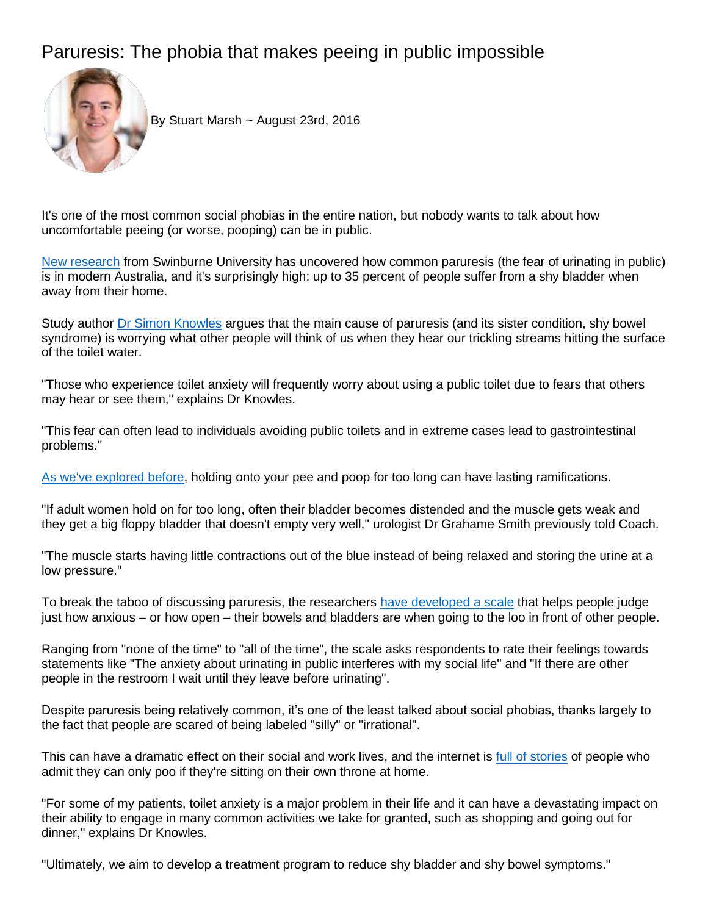## Paruresis: The phobia that makes peeing in public impossible



By Stuart Marsh ~ August 23rd, 2016

It's one of the most common social phobias in the entire nation, but nobody wants to talk about how uncomfortable peeing (or worse, pooping) can be in public.

[New research](http://dx.doi.org/10.1080/16506073.2016.1178800) from Swinburne University has uncovered how common paruresis (the fear of urinating in public) is in modern Australia, and it's surprisingly high: up to 35 percent of people suffer from a shy bladder when away from their home.

Study author [Dr Simon Knowles](http://findanexpert.unimelb.edu.au/display/person168916) argues that the main cause of paruresis (and its sister condition, shy bowel syndrome) is worrying what other people will think of us when they hear our trickling streams hitting the surface of the toilet water.

"Those who experience toilet anxiety will frequently worry about using a public toilet due to fears that others may hear or see them," explains Dr Knowles.

"This fear can often lead to individuals avoiding public toilets and in extreme cases lead to gastrointestinal problems."

[As we've explored before,](http://coach.nine.com.au/2016/02/05/11/43/what-happens-when-you-hold-onto-pee-too-long) holding onto your pee and poop for too long can have lasting ramifications.

"If adult women hold on for too long, often their bladder becomes distended and the muscle gets weak and they get a big floppy bladder that doesn't empty very well," urologist Dr Grahame Smith previously told Coach.

"The muscle starts having little contractions out of the blue instead of being relaxed and storing the urine at a low pressure."

To break the taboo of discussing paruresis, the researchers [have developed a scale](http://toiletanxiety.org/The%20SBBS%20(120416).pdf) that helps people judge just how anxious – or how open – their bowels and bladders are when going to the loo in front of other people.

Ranging from "none of the time" to "all of the time", the scale asks respondents to rate their feelings towards statements like "The anxiety about urinating in public interferes with my social life" and "If there are other people in the restroom I wait until they leave before urinating".

Despite paruresis being relatively common, it's one of the least talked about social phobias, thanks largely to the fact that people are scared of being labeled "silly" or "irrational".

This can have a dramatic effect on their social and work lives, and the internet is [full of stories](https://www.reddit.com/r/funny/comments/i0b2y/i_dont_normally_poop_while_away_from_home/) of people who admit they can only poo if they're sitting on their own throne at home.

"For some of my patients, toilet anxiety is a major problem in their life and it can have a devastating impact on their ability to engage in many common activities we take for granted, such as shopping and going out for dinner," explains Dr Knowles.

"Ultimately, we aim to develop a treatment program to reduce shy bladder and shy bowel symptoms."